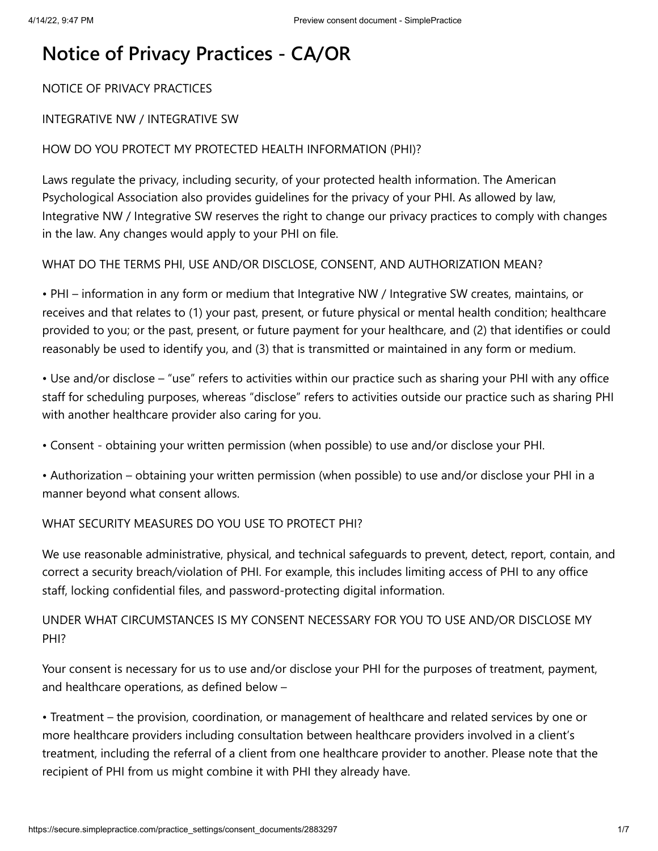# **Notice of Privacy Practices - CA/OR**

NOTICE OF PRIVACY PRACTICES

#### INTEGRATIVE NW / INTEGRATIVE SW

### HOW DO YOU PROTECT MY PROTECTED HEALTH INFORMATION (PHI)?

Laws regulate the privacy, including security, of your protected health information. The American Psychological Association also provides guidelines for the privacy of your PHI. As allowed by law, Integrative NW / Integrative SW reserves the right to change our privacy practices to comply with changes in the law. Any changes would apply to your PHI on file.

WHAT DO THE TERMS PHI, USE AND/OR DISCLOSE, CONSENT, AND AUTHORIZATION MEAN?

• PHI – information in any form or medium that Integrative NW / Integrative SW creates, maintains, or receives and that relates to (1) your past, present, or future physical or mental health condition; healthcare provided to you; or the past, present, or future payment for your healthcare, and (2) that identifies or could reasonably be used to identify you, and (3) that is transmitted or maintained in any form or medium.

• Use and/or disclose – "use" refers to activities within our practice such as sharing your PHI with any office staff for scheduling purposes, whereas "disclose" refers to activities outside our practice such as sharing PHI with another healthcare provider also caring for you.

• Consent - obtaining your written permission (when possible) to use and/or disclose your PHI.

• Authorization – obtaining your written permission (when possible) to use and/or disclose your PHI in a manner beyond what consent allows.

#### WHAT SECURITY MEASURES DO YOU USE TO PROTECT PHI?

We use reasonable administrative, physical, and technical safeguards to prevent, detect, report, contain, and correct a security breach/violation of PHI. For example, this includes limiting access of PHI to any office staff, locking confidential files, and password-protecting digital information.

UNDER WHAT CIRCUMSTANCES IS MY CONSENT NECESSARY FOR YOU TO USE AND/OR DISCLOSE MY PHI?

Your consent is necessary for us to use and/or disclose your PHI for the purposes of treatment, payment, and healthcare operations, as defined below –

• Treatment – the provision, coordination, or management of healthcare and related services by one or more healthcare providers including consultation between healthcare providers involved in a client's treatment, including the referral of a client from one healthcare provider to another. Please note that the recipient of PHI from us might combine it with PHI they already have.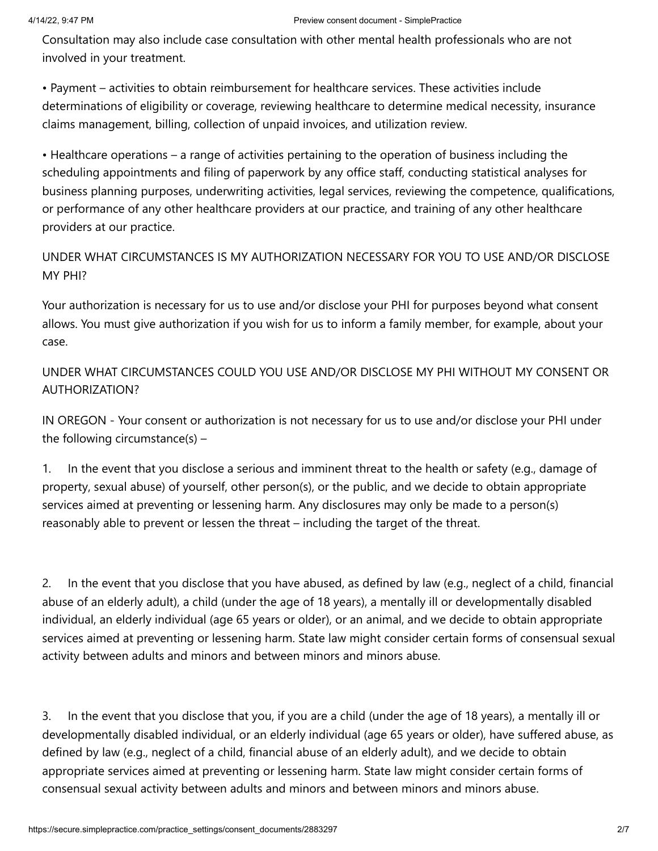Consultation may also include case consultation with other mental health professionals who are not involved in your treatment.

• Payment – activities to obtain reimbursement for healthcare services. These activities include determinations of eligibility or coverage, reviewing healthcare to determine medical necessity, insurance claims management, billing, collection of unpaid invoices, and utilization review.

• Healthcare operations – a range of activities pertaining to the operation of business including the scheduling appointments and filing of paperwork by any office staff, conducting statistical analyses for business planning purposes, underwriting activities, legal services, reviewing the competence, qualifications, or performance of any other healthcare providers at our practice, and training of any other healthcare providers at our practice.

UNDER WHAT CIRCUMSTANCES IS MY AUTHORIZATION NECESSARY FOR YOU TO USE AND/OR DISCLOSE MY PHI?

Your authorization is necessary for us to use and/or disclose your PHI for purposes beyond what consent allows. You must give authorization if you wish for us to inform a family member, for example, about your case.

UNDER WHAT CIRCUMSTANCES COULD YOU USE AND/OR DISCLOSE MY PHI WITHOUT MY CONSENT OR AUTHORIZATION?

IN OREGON - Your consent or authorization is not necessary for us to use and/or disclose your PHI under the following circumstance(s) –

1. In the event that you disclose a serious and imminent threat to the health or safety (e.g., damage of property, sexual abuse) of yourself, other person(s), or the public, and we decide to obtain appropriate services aimed at preventing or lessening harm. Any disclosures may only be made to a person(s) reasonably able to prevent or lessen the threat – including the target of the threat.

2. In the event that you disclose that you have abused, as defined by law (e.g., neglect of a child, financial abuse of an elderly adult), a child (under the age of 18 years), a mentally ill or developmentally disabled individual, an elderly individual (age 65 years or older), or an animal, and we decide to obtain appropriate services aimed at preventing or lessening harm. State law might consider certain forms of consensual sexual activity between adults and minors and between minors and minors abuse.

3. In the event that you disclose that you, if you are a child (under the age of 18 years), a mentally ill or developmentally disabled individual, or an elderly individual (age 65 years or older), have suffered abuse, as defined by law (e.g., neglect of a child, financial abuse of an elderly adult), and we decide to obtain appropriate services aimed at preventing or lessening harm. State law might consider certain forms of consensual sexual activity between adults and minors and between minors and minors abuse.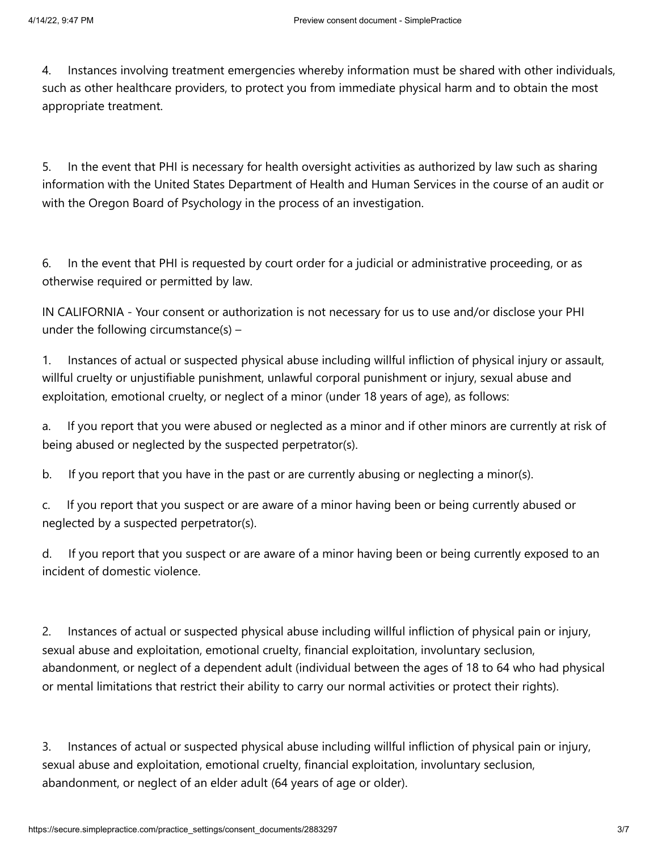4. Instances involving treatment emergencies whereby information must be shared with other individuals, such as other healthcare providers, to protect you from immediate physical harm and to obtain the most appropriate treatment.

5. In the event that PHI is necessary for health oversight activities as authorized by law such as sharing information with the United States Department of Health and Human Services in the course of an audit or with the Oregon Board of Psychology in the process of an investigation.

6. In the event that PHI is requested by court order for a judicial or administrative proceeding, or as otherwise required or permitted by law.

IN CALIFORNIA - Your consent or authorization is not necessary for us to use and/or disclose your PHI under the following circumstance(s) –

1. Instances of actual or suspected physical abuse including willful infliction of physical injury or assault, willful cruelty or unjustifiable punishment, unlawful corporal punishment or injury, sexual abuse and exploitation, emotional cruelty, or neglect of a minor (under 18 years of age), as follows:

a. If you report that you were abused or neglected as a minor and if other minors are currently at risk of being abused or neglected by the suspected perpetrator(s).

b. If you report that you have in the past or are currently abusing or neglecting a minor(s).

c. If you report that you suspect or are aware of a minor having been or being currently abused or neglected by a suspected perpetrator(s).

d. If you report that you suspect or are aware of a minor having been or being currently exposed to an incident of domestic violence.

2. Instances of actual or suspected physical abuse including willful infliction of physical pain or injury, sexual abuse and exploitation, emotional cruelty, financial exploitation, involuntary seclusion, abandonment, or neglect of a dependent adult (individual between the ages of 18 to 64 who had physical or mental limitations that restrict their ability to carry our normal activities or protect their rights).

3. Instances of actual or suspected physical abuse including willful infliction of physical pain or injury, sexual abuse and exploitation, emotional cruelty, financial exploitation, involuntary seclusion, abandonment, or neglect of an elder adult (64 years of age or older).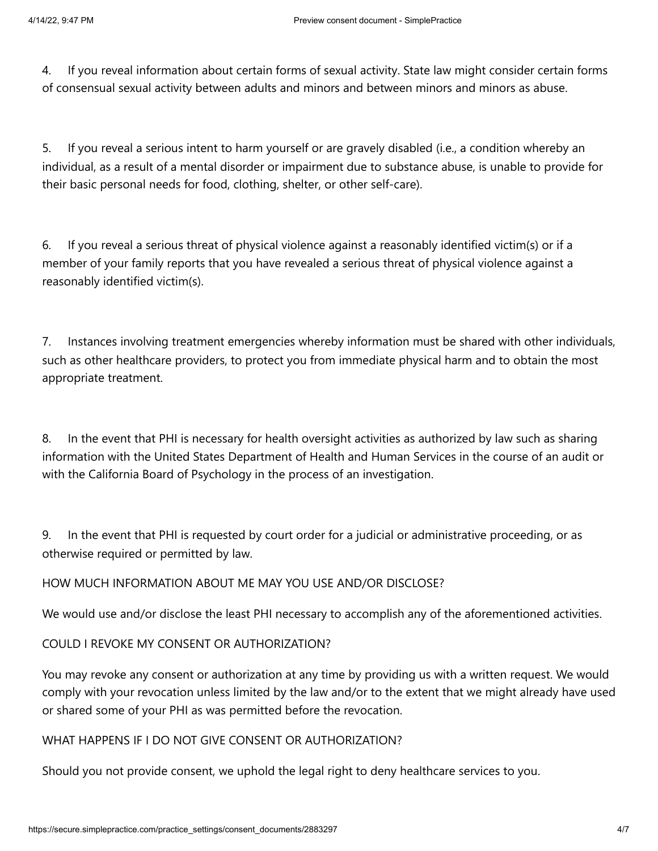4. If you reveal information about certain forms of sexual activity. State law might consider certain forms of consensual sexual activity between adults and minors and between minors and minors as abuse.

5. If you reveal a serious intent to harm yourself or are gravely disabled (i.e., a condition whereby an individual, as a result of a mental disorder or impairment due to substance abuse, is unable to provide for their basic personal needs for food, clothing, shelter, or other self-care).

6. If you reveal a serious threat of physical violence against a reasonably identified victim(s) or if a member of your family reports that you have revealed a serious threat of physical violence against a reasonably identified victim(s).

7. Instances involving treatment emergencies whereby information must be shared with other individuals, such as other healthcare providers, to protect you from immediate physical harm and to obtain the most appropriate treatment.

8. In the event that PHI is necessary for health oversight activities as authorized by law such as sharing information with the United States Department of Health and Human Services in the course of an audit or with the California Board of Psychology in the process of an investigation.

9. In the event that PHI is requested by court order for a judicial or administrative proceeding, or as otherwise required or permitted by law.

# HOW MUCH INFORMATION ABOUT ME MAY YOU USE AND/OR DISCLOSE?

We would use and/or disclose the least PHI necessary to accomplish any of the aforementioned activities.

# COULD I REVOKE MY CONSENT OR AUTHORIZATION?

You may revoke any consent or authorization at any time by providing us with a written request. We would comply with your revocation unless limited by the law and/or to the extent that we might already have used or shared some of your PHI as was permitted before the revocation.

# WHAT HAPPENS IF I DO NOT GIVE CONSENT OR AUTHORIZATION?

Should you not provide consent, we uphold the legal right to deny healthcare services to you.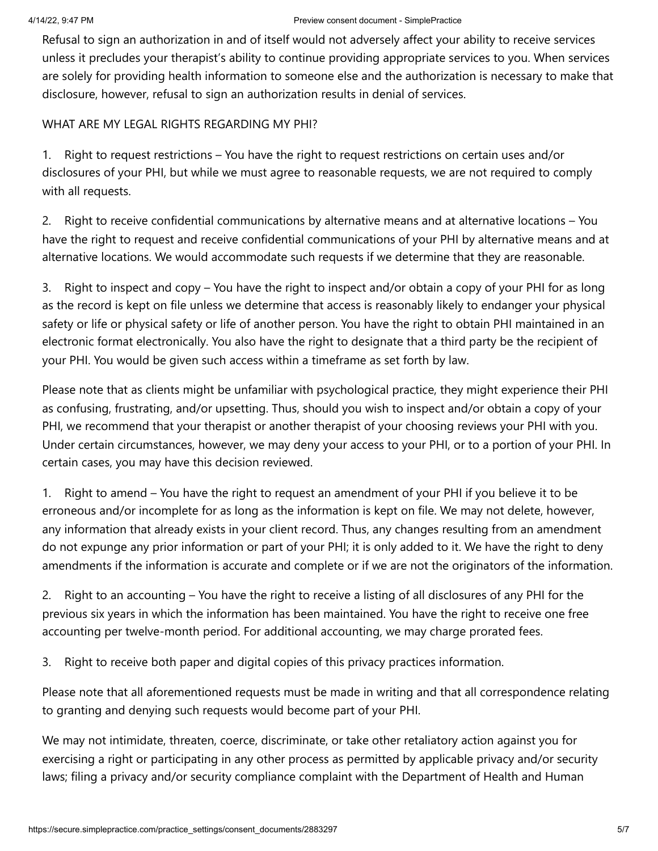Refusal to sign an authorization in and of itself would not adversely affect your ability to receive services unless it precludes your therapist's ability to continue providing appropriate services to you. When services are solely for providing health information to someone else and the authorization is necessary to make that disclosure, however, refusal to sign an authorization results in denial of services.

WHAT ARE MY LEGAL RIGHTS REGARDING MY PHI?

1. Right to request restrictions – You have the right to request restrictions on certain uses and/or disclosures of your PHI, but while we must agree to reasonable requests, we are not required to comply with all requests.

2. Right to receive confidential communications by alternative means and at alternative locations – You have the right to request and receive confidential communications of your PHI by alternative means and at alternative locations. We would accommodate such requests if we determine that they are reasonable.

3. Right to inspect and copy – You have the right to inspect and/or obtain a copy of your PHI for as long as the record is kept on file unless we determine that access is reasonably likely to endanger your physical safety or life or physical safety or life of another person. You have the right to obtain PHI maintained in an electronic format electronically. You also have the right to designate that a third party be the recipient of your PHI. You would be given such access within a timeframe as set forth by law.

Please note that as clients might be unfamiliar with psychological practice, they might experience their PHI as confusing, frustrating, and/or upsetting. Thus, should you wish to inspect and/or obtain a copy of your PHI, we recommend that your therapist or another therapist of your choosing reviews your PHI with you. Under certain circumstances, however, we may deny your access to your PHI, or to a portion of your PHI. In certain cases, you may have this decision reviewed.

1. Right to amend – You have the right to request an amendment of your PHI if you believe it to be erroneous and/or incomplete for as long as the information is kept on file. We may not delete, however, any information that already exists in your client record. Thus, any changes resulting from an amendment do not expunge any prior information or part of your PHI; it is only added to it. We have the right to deny amendments if the information is accurate and complete or if we are not the originators of the information.

2. Right to an accounting – You have the right to receive a listing of all disclosures of any PHI for the previous six years in which the information has been maintained. You have the right to receive one free accounting per twelve-month period. For additional accounting, we may charge prorated fees.

3. Right to receive both paper and digital copies of this privacy practices information.

Please note that all aforementioned requests must be made in writing and that all correspondence relating to granting and denying such requests would become part of your PHI.

We may not intimidate, threaten, coerce, discriminate, or take other retaliatory action against you for exercising a right or participating in any other process as permitted by applicable privacy and/or security laws; filing a privacy and/or security compliance complaint with the Department of Health and Human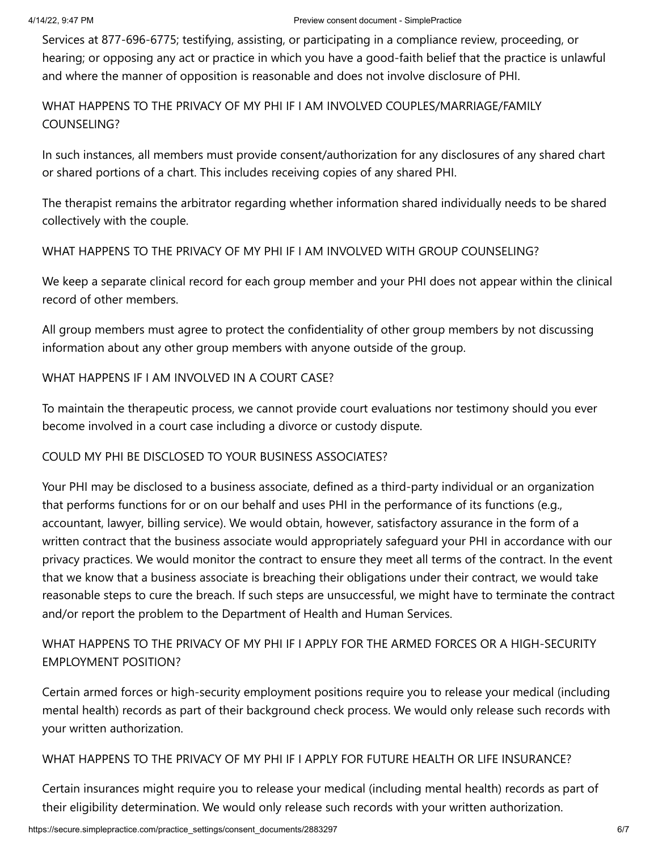Services at 877-696-6775; testifying, assisting, or participating in a compliance review, proceeding, or hearing; or opposing any act or practice in which you have a good-faith belief that the practice is unlawful and where the manner of opposition is reasonable and does not involve disclosure of PHI.

# WHAT HAPPENS TO THE PRIVACY OF MY PHI IF I AM INVOLVED COUPLES/MARRIAGE/FAMILY COUNSELING?

In such instances, all members must provide consent/authorization for any disclosures of any shared chart or shared portions of a chart. This includes receiving copies of any shared PHI.

The therapist remains the arbitrator regarding whether information shared individually needs to be shared collectively with the couple.

# WHAT HAPPENS TO THE PRIVACY OF MY PHI IF I AM INVOLVED WITH GROUP COUNSELING?

We keep a separate clinical record for each group member and your PHI does not appear within the clinical record of other members.

All group members must agree to protect the confidentiality of other group members by not discussing information about any other group members with anyone outside of the group.

# WHAT HAPPENS IF I AM INVOLVED IN A COURT CASE?

To maintain the therapeutic process, we cannot provide court evaluations nor testimony should you ever become involved in a court case including a divorce or custody dispute.

# COULD MY PHI BE DISCLOSED TO YOUR BUSINESS ASSOCIATES?

Your PHI may be disclosed to a business associate, defined as a third-party individual or an organization that performs functions for or on our behalf and uses PHI in the performance of its functions (e.g., accountant, lawyer, billing service). We would obtain, however, satisfactory assurance in the form of a written contract that the business associate would appropriately safeguard your PHI in accordance with our privacy practices. We would monitor the contract to ensure they meet all terms of the contract. In the event that we know that a business associate is breaching their obligations under their contract, we would take reasonable steps to cure the breach. If such steps are unsuccessful, we might have to terminate the contract and/or report the problem to the Department of Health and Human Services.

# WHAT HAPPENS TO THE PRIVACY OF MY PHI IF I APPLY FOR THE ARMED FORCES OR A HIGH-SECURITY EMPLOYMENT POSITION?

Certain armed forces or high-security employment positions require you to release your medical (including mental health) records as part of their background check process. We would only release such records with your written authorization.

# WHAT HAPPENS TO THE PRIVACY OF MY PHI IF I APPLY FOR FUTURE HEALTH OR LIFE INSURANCE?

Certain insurances might require you to release your medical (including mental health) records as part of their eligibility determination. We would only release such records with your written authorization.